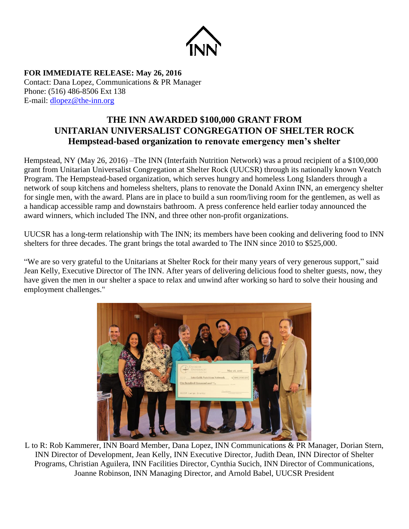

**FOR IMMEDIATE RELEASE: May 26, 2016** Contact: Dana Lopez, Communications & PR Manager Phone: (516) 486-8506 Ext 138 E-mail: [dlopez@the-inn.org](mailto:dlopez@the-inn.org)

## **THE INN AWARDED \$100,000 GRANT FROM UNITARIAN UNIVERSALIST CONGREGATION OF SHELTER ROCK Hempstead-based organization to renovate emergency men's shelter**

Hempstead, NY (May 26, 2016) –The INN (Interfaith Nutrition Network) was a proud recipient of a \$100,000 grant from Unitarian Universalist Congregation at Shelter Rock (UUCSR) through its nationally known Veatch Program. The Hempstead-based organization, which serves hungry and homeless Long Islanders through a network of soup kitchens and homeless shelters, plans to renovate the Donald Axinn INN, an emergency shelter for single men, with the award. Plans are in place to build a sun room/living room for the gentlemen, as well as a handicap accessible ramp and downstairs bathroom. A press conference held earlier today announced the award winners, which included The INN, and three other non-profit organizations.

UUCSR has a long-term relationship with The INN; its members have been cooking and delivering food to INN shelters for three decades. The grant brings the total awarded to The INN since 2010 to \$525,000.

"We are so very grateful to the Unitarians at Shelter Rock for their many years of very generous support," said Jean Kelly, Executive Director of The INN. After years of delivering delicious food to shelter guests, now, they have given the men in our shelter a space to relax and unwind after working so hard to solve their housing and employment challenges."



L to R: Rob Kammerer, INN Board Member, Dana Lopez, INN Communications & PR Manager, Dorian Stern, INN Director of Development, Jean Kelly, INN Executive Director, Judith Dean, INN Director of Shelter Programs, Christian Aguilera, INN Facilities Director, Cynthia Sucich, INN Director of Communications, Joanne Robinson, INN Managing Director, and Arnold Babel, UUCSR President